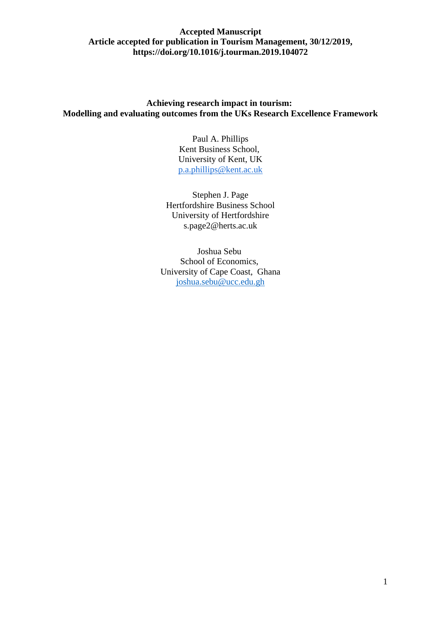# **Achieving research impact in tourism: Modelling and evaluating outcomes from the UKs Research Excellence Framework**

Paul A. Phillips Kent Business School, University of Kent, UK [p.a.phillips@kent.ac.uk](mailto:p.a.phillips@kent.ac.uk)

Stephen J. Page Hertfordshire Business School University of Hertfordshire s.page2@herts.ac.uk

Joshua Sebu School of Economics, University of Cape Coast, Ghana [joshua.sebu@ucc.edu.gh](mailto:joshua.sebu@ucc.edu.gh)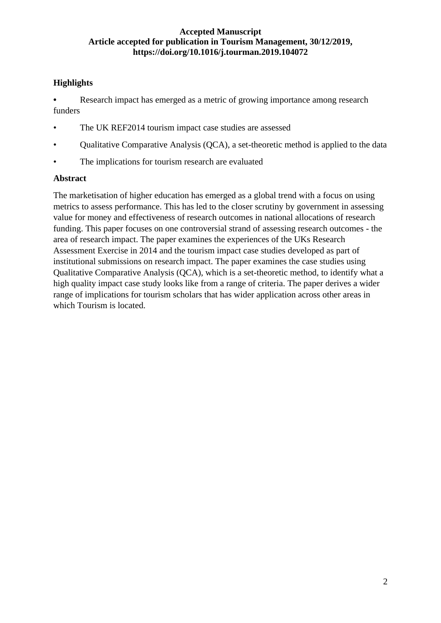# **Highlights**

**•** Research impact has emerged as a metric of growing importance among research funders

- The UK REF2014 tourism impact case studies are assessed
- Qualitative Comparative Analysis (QCA), a set-theoretic method is applied to the data
- The implications for tourism research are evaluated

# **Abstract**

The marketisation of higher education has emerged as a global trend with a focus on using metrics to assess performance. This has led to the closer scrutiny by government in assessing value for money and effectiveness of research outcomes in national allocations of research funding. This paper focuses on one controversial strand of assessing research outcomes - the area of research impact. The paper examines the experiences of the UKs Research Assessment Exercise in 2014 and the tourism impact case studies developed as part of institutional submissions on research impact. The paper examines the case studies using Qualitative Comparative Analysis (QCA), which is a set-theoretic method, to identify what a high quality impact case study looks like from a range of criteria. The paper derives a wider range of implications for tourism scholars that has wider application across other areas in which Tourism is located.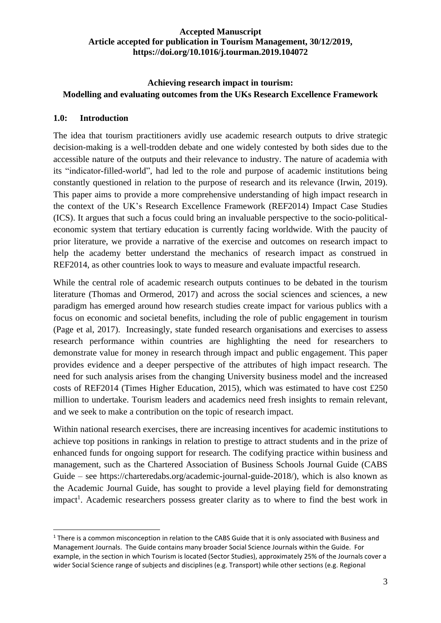# **Achieving research impact in tourism: Modelling and evaluating outcomes from the UKs Research Excellence Framework**

# **1.0: Introduction**

The idea that tourism practitioners avidly use academic research outputs to drive strategic decision-making is a well-trodden debate and one widely contested by both sides due to the accessible nature of the outputs and their relevance to industry. The nature of academia with its "indicator-filled-world", had led to the role and purpose of academic institutions being constantly questioned in relation to the purpose of research and its relevance (Irwin, 2019). This paper aims to provide a more comprehensive understanding of high impact research in the context of the UK's Research Excellence Framework (REF2014) Impact Case Studies (ICS). It argues that such a focus could bring an invaluable perspective to the socio-politicaleconomic system that tertiary education is currently facing worldwide. With the paucity of prior literature, we provide a narrative of the exercise and outcomes on research impact to help the academy better understand the mechanics of research impact as construed in REF2014, as other countries look to ways to measure and evaluate impactful research.

While the central role of academic research outputs continues to be debated in the tourism literature (Thomas and Ormerod, 2017) and across the social sciences and sciences, a new paradigm has emerged around how research studies create impact for various publics with a focus on economic and societal benefits, including the role of public engagement in tourism (Page et al, 2017). Increasingly, state funded research organisations and exercises to assess research performance within countries are highlighting the need for researchers to demonstrate value for money in research through impact and public engagement. This paper provides evidence and a deeper perspective of the attributes of high impact research. The need for such analysis arises from the changing University business model and the increased costs of REF2014 (Times Higher Education, 2015), which was estimated to have cost £250 million to undertake. Tourism leaders and academics need fresh insights to remain relevant, and we seek to make a contribution on the topic of research impact.

Within national research exercises, there are increasing incentives for academic institutions to achieve top positions in rankings in relation to prestige to attract students and in the prize of enhanced funds for ongoing support for research. The codifying practice within business and management, such as the Chartered Association of Business Schools Journal Guide (CABS Guide – see https://charteredabs.org/academic-journal-guide-2018/), which is also known as the Academic Journal Guide, has sought to provide a level playing field for demonstrating impact<sup>1</sup>. Academic researchers possess greater clarity as to where to find the best work in

<sup>&</sup>lt;sup>1</sup> There is a common misconception in relation to the CABS Guide that it is only associated with Business and Management Journals. The Guide contains many broader Social Science Journals within the Guide. For example, in the section in which Tourism is located (Sector Studies), approximately 25% of the Journals cover a wider Social Science range of subjects and disciplines (e.g. Transport) while other sections (e.g. Regional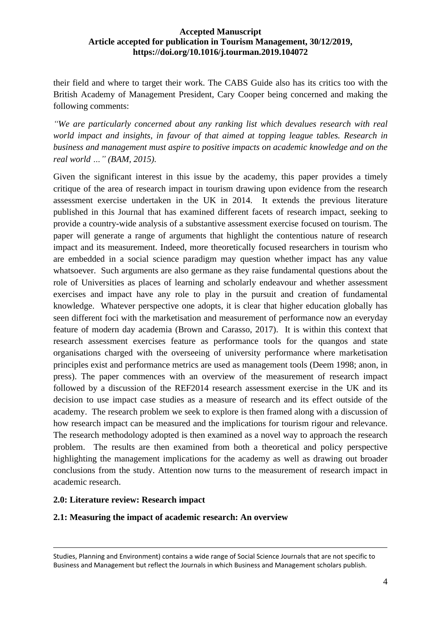their field and where to target their work. The CABS Guide also has its critics too with the British Academy of Management President, Cary Cooper being concerned and making the following comments:

*"We are particularly concerned about any ranking list which devalues research with real world impact and insights, in favour of that aimed at topping league tables. Research in business and management must aspire to positive impacts on academic knowledge and on the real world …" (BAM, 2015).*

Given the significant interest in this issue by the academy, this paper provides a timely critique of the area of research impact in tourism drawing upon evidence from the research assessment exercise undertaken in the UK in 2014. It extends the previous literature published in this Journal that has examined different facets of research impact, seeking to provide a country-wide analysis of a substantive assessment exercise focused on tourism. The paper will generate a range of arguments that highlight the contentious nature of research impact and its measurement. Indeed, more theoretically focused researchers in tourism who are embedded in a social science paradigm may question whether impact has any value whatsoever. Such arguments are also germane as they raise fundamental questions about the role of Universities as places of learning and scholarly endeavour and whether assessment exercises and impact have any role to play in the pursuit and creation of fundamental knowledge. Whatever perspective one adopts, it is clear that higher education globally has seen different foci with the marketisation and measurement of performance now an everyday feature of modern day academia (Brown and Carasso, 2017). It is within this context that research assessment exercises feature as performance tools for the quangos and state organisations charged with the overseeing of university performance where marketisation principles exist and performance metrics are used as management tools (Deem 1998; anon, in press). The paper commences with an overview of the measurement of research impact followed by a discussion of the REF2014 research assessment exercise in the UK and its decision to use impact case studies as a measure of research and its effect outside of the academy. The research problem we seek to explore is then framed along with a discussion of how research impact can be measured and the implications for tourism rigour and relevance. The research methodology adopted is then examined as a novel way to approach the research problem. The results are then examined from both a theoretical and policy perspective highlighting the management implications for the academy as well as drawing out broader conclusions from the study. Attention now turns to the measurement of research impact in academic research.

# **2.0: Literature review: Research impact**

# **2.1: Measuring the impact of academic research: An overview**

Studies, Planning and Environment) contains a wide range of Social Science Journals that are not specific to Business and Management but reflect the Journals in which Business and Management scholars publish.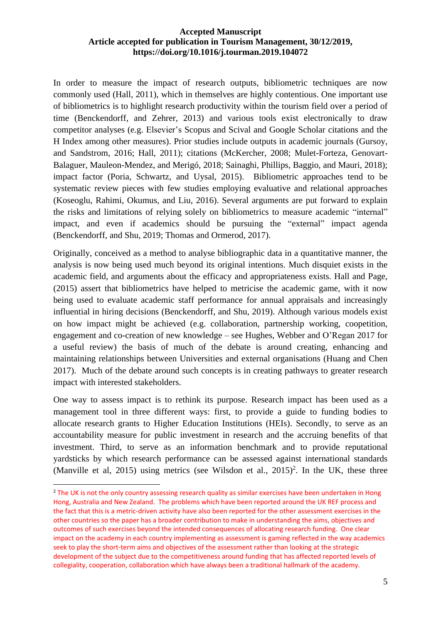In order to measure the impact of research outputs, bibliometric techniques are now commonly used (Hall, 2011), which in themselves are highly contentious. One important use of bibliometrics is to highlight research productivity within the tourism field over a period of time (Benckendorff, and Zehrer, 2013) and various tools exist electronically to draw competitor analyses (e.g. Elsevier's Scopus and Scival and Google Scholar citations and the H Index among other measures). Prior studies include outputs in academic journals (Gursoy, and Sandstrom, 2016; Hall, 2011); citations (McKercher, 2008; Mulet-Forteza, Genovart-Balaguer, Mauleon-Mendez, and Merigó, 2018; Sainaghi, Phillips, Baggio, and Mauri, 2018); impact factor (Poria, Schwartz, and Uysal, 2015). Bibliometric approaches tend to be systematic review pieces with few studies employing evaluative and relational approaches (Koseoglu, Rahimi, Okumus, and Liu, 2016). Several arguments are put forward to explain the risks and limitations of relying solely on bibliometrics to measure academic "internal" impact, and even if academics should be pursuing the "external" impact agenda (Benckendorff, and Shu, 2019; Thomas and Ormerod, 2017).

Originally, conceived as a method to analyse bibliographic data in a quantitative manner, the analysis is now being used much beyond its original intentions. Much disquiet exists in the academic field, and arguments about the efficacy and appropriateness exists. Hall and Page, (2015) assert that bibliometrics have helped to metricise the academic game, with it now being used to evaluate academic staff performance for annual appraisals and increasingly influential in hiring decisions (Benckendorff, and Shu, 2019). Although various models exist on how impact might be achieved (e.g. collaboration, partnership working, coopetition, engagement and co-creation of new knowledge – see Hughes, Webber and O'Regan 2017 for a useful review) the basis of much of the debate is around creating, enhancing and maintaining relationships between Universities and external organisations (Huang and Chen 2017). Much of the debate around such concepts is in creating pathways to greater research impact with interested stakeholders.

One way to assess impact is to rethink its purpose. Research impact has been used as a management tool in three different ways: first, to provide a guide to funding bodies to allocate research grants to Higher Education Institutions (HEIs). Secondly, to serve as an accountability measure for public investment in research and the accruing benefits of that investment. Third, to serve as an information benchmark and to provide reputational yardsticks by which research performance can be assessed against international standards (Manville et al, 2015) using metrics (see Wilsdon et al.,  $2015$ )<sup>2</sup>. In the UK, these three

<sup>&</sup>lt;sup>2</sup> The UK is not the only country assessing research quality as similar exercises have been undertaken in Hong Hong, Australia and New Zealand. The problems which have been reported around the UK REF process and the fact that this is a metric-driven activity have also been reported for the other assessment exercises in the other countries so the paper has a broader contribution to make in understanding the aims, objectives and outcomes of such exercises beyond the intended consequences of allocating research funding. One clear impact on the academy in each country implementing as assessment is gaming reflected in the way academics seek to play the short-term aims and objectives of the assessment rather than looking at the strategic development of the subject due to the competitiveness around funding that has affected reported levels of collegiality, cooperation, collaboration which have always been a traditional hallmark of the academy.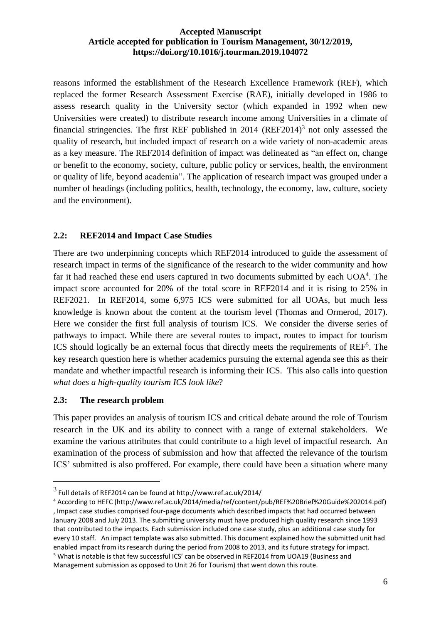reasons informed the establishment of the Research Excellence Framework (REF), which replaced the former Research Assessment Exercise (RAE), initially developed in 1986 to assess research quality in the University sector (which expanded in 1992 when new Universities were created) to distribute research income among Universities in a climate of financial stringencies. The first REF published in  $2014$  (REF2014)<sup>3</sup> not only assessed the quality of research, but included impact of research on a wide variety of non-academic areas as a key measure. The REF2014 definition of impact was delineated as "an effect on, change or benefit to the economy, society, culture, public policy or services, health, the environment or quality of life, beyond academia". The application of research impact was grouped under a number of headings (including politics, health, technology, the economy, law, culture, society and the environment).

# **2.2: REF2014 and Impact Case Studies**

There are two underpinning concepts which REF2014 introduced to guide the assessment of research impact in terms of the significance of the research to the wider community and how far it had reached these end users captured in two documents submitted by each  $UOA<sup>4</sup>$ . The impact score accounted for 20% of the total score in REF2014 and it is rising to 25% in REF2021.In REF2014, some 6,975 ICS were submitted for all UOAs, but much less knowledge is known about the content at the tourism level (Thomas and Ormerod, 2017). Here we consider the first full analysis of tourism ICS. We consider the diverse series of pathways to impact. While there are several routes to impact, routes to impact for tourism ICS should logically be an external focus that directly meets the requirements of REF<sup>5</sup>. The key research question here is whether academics pursuing the external agenda see this as their mandate and whether impactful research is informing their ICS. This also calls into question *what does a high-quality tourism ICS look like*?

# **2.3: The research problem**

This paper provides an analysis of tourism ICS and critical debate around the role of Tourism research in the UK and its ability to connect with a range of external stakeholders. We examine the various attributes that could contribute to a high level of impactful research. An examination of the process of submission and how that affected the relevance of the tourism ICS' submitted is also proffered. For example, there could have been a situation where many

 $^3$  Full details of REF2014 can be found at http://www.ref.ac.uk/2014/

<sup>4</sup> According to HEFC (http://www.ref.ac.uk/2014/media/ref/content/pub/REF%20Brief%20Guide%202014.pdf) , Impact case studies comprised four-page documents which described impacts that had occurred between January 2008 and July 2013. The submitting university must have produced high quality research since 1993 that contributed to the impacts. Each submission included one case study, plus an additional case study for every 10 staff. An impact template was also submitted. This document explained how the submitted unit had enabled impact from its research during the period from 2008 to 2013, and its future strategy for impact. <sup>5</sup> What is notable is that few successful ICS' can be observed in REF2014 from UOA19 (Business and Management submission as opposed to Unit 26 for Tourism) that went down this route.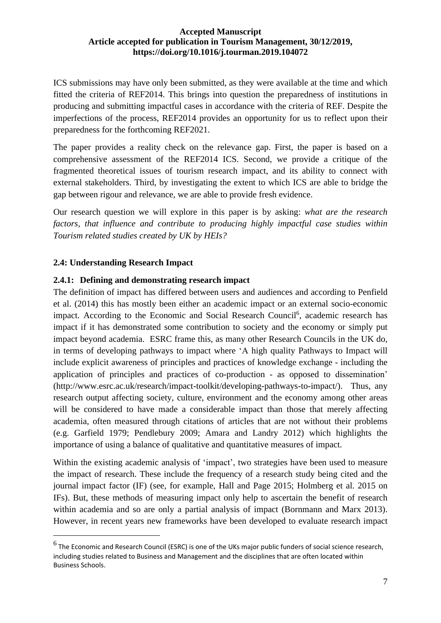ICS submissions may have only been submitted, as they were available at the time and which fitted the criteria of REF2014. This brings into question the preparedness of institutions in producing and submitting impactful cases in accordance with the criteria of REF. Despite the imperfections of the process, REF2014 provides an opportunity for us to reflect upon their preparedness for the forthcoming REF2021.

The paper provides a reality check on the relevance gap. First, the paper is based on a comprehensive assessment of the REF2014 ICS. Second, we provide a critique of the fragmented theoretical issues of tourism research impact, and its ability to connect with external stakeholders. Third, by investigating the extent to which ICS are able to bridge the gap between rigour and relevance, we are able to provide fresh evidence.

Our research question we will explore in this paper is by asking: *what are the research factors, that influence and contribute to producing highly impactful case studies within Tourism related studies created by UK by HEIs?*

# **2.4: Understanding Research Impact**

# **2.4.1: Defining and demonstrating research impact**

The definition of impact has differed between users and audiences and according to Penfield et al. (2014) this has mostly been either an academic impact or an external socio-economic impact. According to the Economic and Social Research Council<sup>6</sup>, academic research has impact if it has demonstrated some contribution to society and the economy or simply put impact beyond academia. ESRC frame this, as many other Research Councils in the UK do, in terms of developing pathways to impact where 'A high quality Pathways to Impact will include explicit awareness of principles and practices of knowledge exchange - including the application of principles and practices of co-production - as opposed to dissemination' (http://www.esrc.ac.uk/research/impact-toolkit/developing-pathways-to-impact/). Thus, any research output affecting society, culture, environment and the economy among other areas will be considered to have made a considerable impact than those that merely affecting academia, often measured through citations of articles that are not without their problems (e.g. Garfield 1979; Pendlebury 2009; Amara and Landry 2012) which highlights the importance of using a balance of qualitative and quantitative measures of impact.

Within the existing academic analysis of 'impact', two strategies have been used to measure the impact of research. These include the frequency of a research study being cited and the journal impact factor (IF) (see, for example, Hall and Page 2015; Holmberg et al. 2015 on IFs). But, these methods of measuring impact only help to ascertain the benefit of research within academia and so are only a partial analysis of impact (Bornmann and Marx 2013). However, in recent years new frameworks have been developed to evaluate research impact

 $^6$  The Economic and Research Council (ESRC) is one of the UKs major public funders of social science research, including studies related to Business and Management and the disciplines that are often located within Business Schools.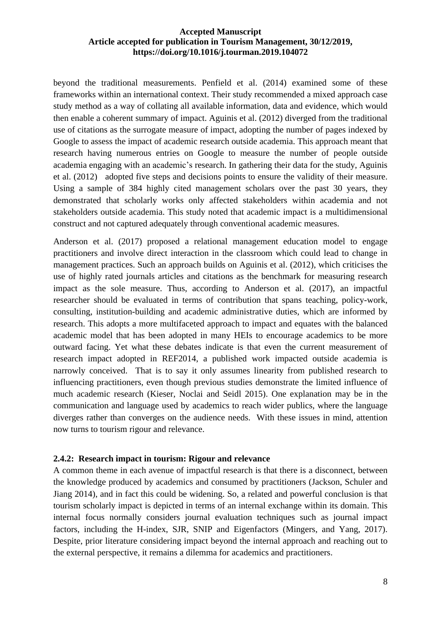beyond the traditional measurements. Penfield et al. (2014) examined some of these frameworks within an international context. Their study recommended a mixed approach case study method as a way of collating all available information, data and evidence, which would then enable a coherent summary of impact. Aguinis et al. (2012) diverged from the traditional use of citations as the surrogate measure of impact, adopting the number of pages indexed by Google to assess the impact of academic research outside academia. This approach meant that research having numerous entries on Google to measure the number of people outside academia engaging with an academic's research. In gathering their data for the study, Aguinis et al. (2012) adopted five steps and decisions points to ensure the validity of their measure. Using a sample of 384 highly cited management scholars over the past 30 years, they demonstrated that scholarly works only affected stakeholders within academia and not stakeholders outside academia. This study noted that academic impact is a multidimensional construct and not captured adequately through conventional academic measures.

Anderson et al. (2017) proposed a relational management education model to engage practitioners and involve direct interaction in the classroom which could lead to change in management practices. Such an approach builds on Aguinis et al. (2012), which criticises the use of highly rated journals articles and citations as the benchmark for measuring research impact as the sole measure. Thus, according to Anderson et al. (2017), an impactful researcher should be evaluated in terms of contribution that spans teaching, policy-work, consulting, institution-building and academic administrative duties, which are informed by research. This adopts a more multifaceted approach to impact and equates with the balanced academic model that has been adopted in many HEIs to encourage academics to be more outward facing. Yet what these debates indicate is that even the current measurement of research impact adopted in REF2014, a published work impacted outside academia is narrowly conceived. That is to say it only assumes linearity from published research to influencing practitioners, even though previous studies demonstrate the limited influence of much academic research (Kieser, Noclai and Seidl 2015). One explanation may be in the communication and language used by academics to reach wider publics, where the language diverges rather than converges on the audience needs. With these issues in mind, attention now turns to tourism rigour and relevance.

#### **2.4.2: Research impact in tourism: Rigour and relevance**

A common theme in each avenue of impactful research is that there is a disconnect, between the knowledge produced by academics and consumed by practitioners (Jackson, Schuler and Jiang 2014), and in fact this could be widening. So, a related and powerful conclusion is that tourism scholarly impact is depicted in terms of an internal exchange within its domain. This internal focus normally considers journal evaluation techniques such as journal impact factors, including the H-index, SJR, SNIP and Eigenfactors (Mingers, and Yang, 2017). Despite, prior literature considering impact beyond the internal approach and reaching out to the external perspective, it remains a dilemma for academics and practitioners.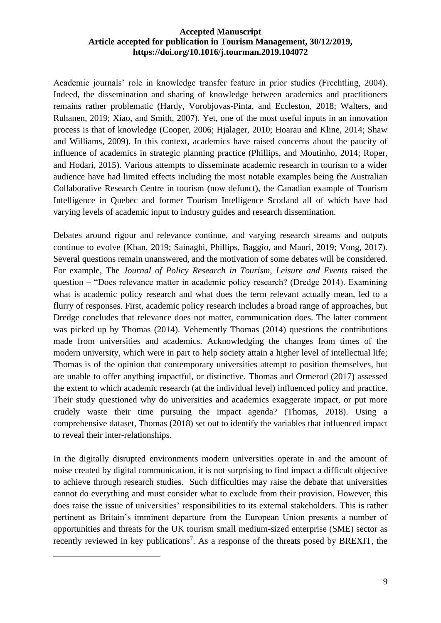Academic journals' role in knowledge transfer feature in prior studies (Frechtling, 2004). Indeed, the dissemination and sharing of knowledge between academics and practitioners remains rather problematic (Hardy, Vorobjovas-Pinta, and Eccleston, 2018; Walters, and Ruhanen, 2019; Xiao, and Smith, 2007). Yet, one of the most useful inputs in an innovation process is that of knowledge (Cooper, 2006; Hjalager, 2010; Hoarau and Kline, 2014; Shaw and Williams, 2009). In this context, academics have raised concerns about the paucity of influence of academics in strategic planning practice (Phillips, and Moutinho, 2014; Roper, and Hodari, 2015). Various attempts to disseminate academic research in tourism to a wider audience have had limited effects including the most notable examples being the Australian Collaborative Research Centre in tourism (now defunct), the Canadian example of Tourism Intelligence in Quebec and former Tourism Intelligence Scotland all of which have had varying levels of academic input to industry guides and research dissemination.

Debates around rigour and relevance continue, and varying research streams and outputs continue to evolve (Khan, 2019; Sainaghi, Phillips, Baggio, and Mauri, 2019; Vong, 2017). Several questions remain unanswered, and the motivation of some debates will be considered. For example, The *Journal of Policy Research in Tourism, Leisure and Events* raised the question – "Does relevance matter in academic policy research? (Dredge 2014). Examining what is academic policy research and what does the term relevant actually mean, led to a flurry of responses. First, academic policy research includes a broad range of approaches, but Dredge concludes that relevance does not matter, communication does. The latter comment was picked up by Thomas (2014). Vehemently Thomas (2014) questions the contributions made from universities and academics. Acknowledging the changes from times of the modern university, which were in part to help society attain a higher level of intellectual life; Thomas is of the opinion that contemporary universities attempt to position themselves, but are unable to offer anything impactful, or distinctive. Thomas and Ormerod (2017) assessed the extent to which academic research (at the individual level) influenced policy and practice. Their study questioned why do universities and academics exaggerate impact, or put more crudely waste their time pursuing the impact agenda? (Thomas, 2018). Using a comprehensive dataset, Thomas (2018) set out to identify the variables that influenced impact to reveal their inter-relationships.

In the digitally disrupted environments modern universities operate in and the amount of noise created by digital communication, it is not surprising to find impact a difficult objective to achieve through research studies. Such difficulties may raise the debate that universities cannot do everything and must consider what to exclude from their provision. However, this does raise the issue of universities' responsibilities to its external stakeholders. This is rather pertinent as Britain's imminent departure from the European Union presents a number of opportunities and threats for the UK tourism small medium-sized enterprise (SME) sector as recently reviewed in key publications<sup>7</sup>. As a response of the threats posed by BREXIT, the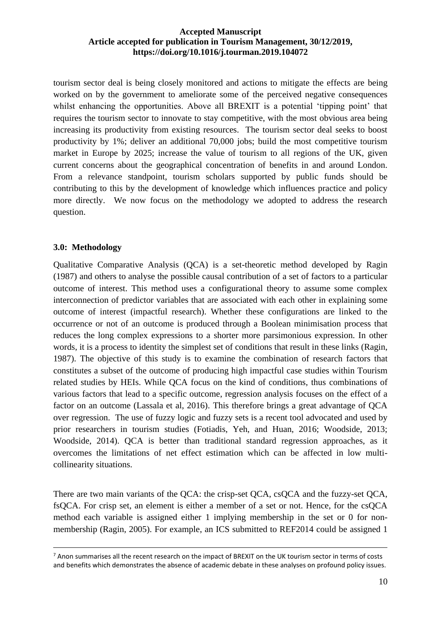tourism sector deal is being closely monitored and actions to mitigate the effects are being worked on by the government to ameliorate some of the perceived negative consequences whilst enhancing the opportunities. Above all BREXIT is a potential 'tipping point' that requires the tourism sector to innovate to stay competitive, with the most obvious area being increasing its productivity from existing resources. The tourism sector deal seeks to boost productivity by 1%; deliver an additional 70,000 jobs; build the most competitive tourism market in Europe by 2025; increase the value of tourism to all regions of the UK, given current concerns about the geographical concentration of benefits in and around London. From a relevance standpoint, tourism scholars supported by public funds should be contributing to this by the development of knowledge which influences practice and policy more directly. We now focus on the methodology we adopted to address the research question.

## **3.0: Methodology**

Qualitative Comparative Analysis (QCA) is a set-theoretic method developed by Ragin (1987) and others to analyse the possible causal contribution of a set of factors to a particular outcome of interest. This method uses a configurational theory to assume some complex interconnection of predictor variables that are associated with each other in explaining some outcome of interest (impactful research). Whether these configurations are linked to the occurrence or not of an outcome is produced through a Boolean minimisation process that reduces the long complex expressions to a shorter more parsimonious expression. In other words, it is a process to identity the simplest set of conditions that result in these links (Ragin, 1987). The objective of this study is to examine the combination of research factors that constitutes a subset of the outcome of producing high impactful case studies within Tourism related studies by HEIs. While QCA focus on the kind of conditions, thus combinations of various factors that lead to a specific outcome, regression analysis focuses on the effect of a factor on an outcome (Lassala et al, 2016). This therefore brings a great advantage of QCA over regression. The use of fuzzy logic and fuzzy sets is a recent tool advocated and used by prior researchers in tourism studies (Fotiadis, Yeh, and Huan, 2016; Woodside, 2013; Woodside, 2014). QCA is better than traditional standard regression approaches, as it overcomes the limitations of net effect estimation which can be affected in low multicollinearity situations.

There are two main variants of the QCA: the crisp-set QCA, csQCA and the fuzzy-set QCA, fsQCA. For crisp set, an element is either a member of a set or not. Hence, for the csQCA method each variable is assigned either 1 implying membership in the set or 0 for nonmembership (Ragin, 2005). For example, an ICS submitted to REF2014 could be assigned 1

<sup>&</sup>lt;sup>7</sup> Anon summarises all the recent research on the impact of BREXIT on the UK tourism sector in terms of costs and benefits which demonstrates the absence of academic debate in these analyses on profound policy issues.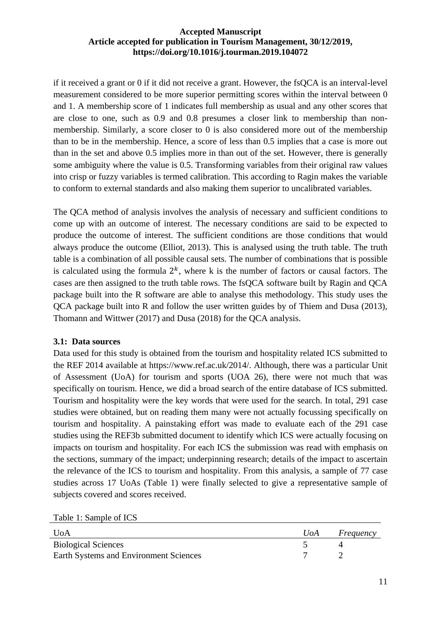if it received a grant or 0 if it did not receive a grant. However, the fsQCA is an interval-level measurement considered to be more superior permitting scores within the interval between 0 and 1. A membership score of 1 indicates full membership as usual and any other scores that are close to one, such as 0.9 and 0.8 presumes a closer link to membership than nonmembership. Similarly, a score closer to 0 is also considered more out of the membership than to be in the membership. Hence, a score of less than 0.5 implies that a case is more out than in the set and above 0.5 implies more in than out of the set. However, there is generally some ambiguity where the value is 0.5. Transforming variables from their original raw values into crisp or fuzzy variables is termed calibration. This according to Ragin makes the variable to conform to external standards and also making them superior to uncalibrated variables.

The QCA method of analysis involves the analysis of necessary and sufficient conditions to come up with an outcome of interest. The necessary conditions are said to be expected to produce the outcome of interest. The sufficient conditions are those conditions that would always produce the outcome (Elliot, 2013). This is analysed using the truth table. The truth table is a combination of all possible causal sets. The number of combinations that is possible is calculated using the formula  $2<sup>k</sup>$ , where k is the number of factors or causal factors. The cases are then assigned to the truth table rows. The fsQCA software built by Ragin and QCA package built into the R software are able to analyse this methodology. This study uses the QCA package built into R and follow the user written guides by of Thiem and Dusa (2013), Thomann and Wittwer (2017) and Dusa (2018) for the QCA analysis.

# **3.1: Data sources**

Data used for this study is obtained from the tourism and hospitality related ICS submitted to the REF 2014 available at https://www.ref.ac.uk/2014/. Although, there was a particular Unit of Assessment (UoA) for tourism and sports (UOA 26), there were not much that was specifically on tourism. Hence, we did a broad search of the entire database of ICS submitted. Tourism and hospitality were the key words that were used for the search. In total, 291 case studies were obtained, but on reading them many were not actually focussing specifically on tourism and hospitality. A painstaking effort was made to evaluate each of the 291 case studies using the REF3b submitted document to identify which ICS were actually focusing on impacts on tourism and hospitality. For each ICS the submission was read with emphasis on the sections, summary of the impact; underpinning research; details of the impact to ascertain the relevance of the ICS to tourism and hospitality. From this analysis, a sample of 77 case studies across 17 UoAs (Table 1) were finally selected to give a representative sample of subjects covered and scores received.

Table 1: Sample of ICS

| UoA                                    | UoA — | Frequency |
|----------------------------------------|-------|-----------|
| <b>Biological Sciences</b>             |       |           |
| Earth Systems and Environment Sciences |       |           |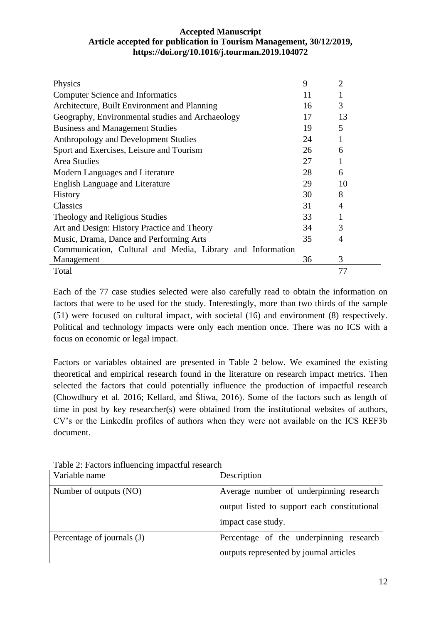| Physics                                                    | 9  | $\overline{2}$ |
|------------------------------------------------------------|----|----------------|
| <b>Computer Science and Informatics</b>                    | 11 |                |
| Architecture, Built Environment and Planning               | 16 | 3              |
| Geography, Environmental studies and Archaeology           | 17 | 13             |
| <b>Business and Management Studies</b>                     | 19 | 5              |
| Anthropology and Development Studies                       | 24 |                |
| Sport and Exercises, Leisure and Tourism                   | 26 | 6              |
| <b>Area Studies</b>                                        | 27 |                |
| Modern Languages and Literature                            | 28 | 6              |
| <b>English Language and Literature</b>                     | 29 | 10             |
| <b>History</b>                                             | 30 | 8              |
| Classics                                                   | 31 | 4              |
| Theology and Religious Studies                             | 33 |                |
| Art and Design: History Practice and Theory                | 34 | 3              |
| Music, Drama, Dance and Performing Arts                    | 35 | 4              |
| Communication, Cultural and Media, Library and Information |    |                |
| Management                                                 | 36 | 3              |
| Total                                                      |    | 77             |

Each of the 77 case studies selected were also carefully read to obtain the information on factors that were to be used for the study. Interestingly, more than two thirds of the sample (51) were focused on cultural impact, with societal (16) and environment (8) respectively. Political and technology impacts were only each mention once. There was no ICS with a focus on economic or legal impact.

Factors or variables obtained are presented in Table 2 below. We examined the existing theoretical and empirical research found in the literature on research impact metrics. Then selected the factors that could potentially influence the production of impactful research (Chowdhury et al. 2016; Kellard, and Śliwa, 2016). Some of the factors such as length of time in post by key researcher(s) were obtained from the institutional websites of authors, CV's or the LinkedIn profiles of authors when they were not available on the ICS REF3b document.

| Variable name              | Description                                  |
|----------------------------|----------------------------------------------|
| Number of outputs (NO)     | Average number of underpinning research      |
|                            | output listed to support each constitutional |
|                            | impact case study.                           |
| Percentage of journals (J) | Percentage of the underpinning research      |
|                            | outputs represented by journal articles      |

Table 2: Factors influencing impactful research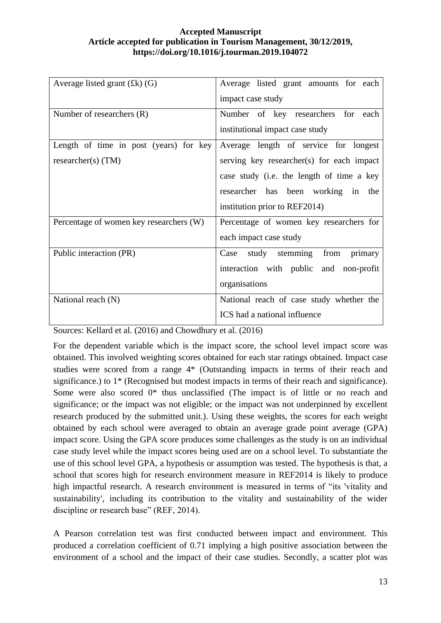| Average listed grant $(fk)$ (G)         | Average listed grant amounts for each     |
|-----------------------------------------|-------------------------------------------|
|                                         | impact case study                         |
| Number of researchers (R)               | Number of key researchers for each        |
|                                         | institutional impact case study           |
| Length of time in post (years) for key  | Average length of service for longest     |
| $researcher(s)$ (TM)                    | serving key researcher(s) for each impact |
|                                         | case study (i.e. the length of time a key |
|                                         | researcher has been working in the        |
|                                         | institution prior to REF2014)             |
| Percentage of women key researchers (W) | Percentage of women key researchers for   |
|                                         | each impact case study                    |
| Public interaction (PR)                 | study stemming<br>from<br>Case<br>primary |
|                                         | interaction with public and non-profit    |
|                                         | organisations                             |
| National reach (N)                      | National reach of case study whether the  |
|                                         | ICS had a national influence              |

Sources: Kellard et al. (2016) and Chowdhury et al. (2016)

For the dependent variable which is the impact score, the school level impact score was obtained. This involved weighting scores obtained for each star ratings obtained. Impact case studies were scored from a range 4\* (Outstanding impacts in terms of their reach and significance.) to 1<sup>\*</sup> (Recognised but modest impacts in terms of their reach and significance). Some were also scored 0\* thus unclassified (The impact is of little or no reach and significance; or the impact was not eligible; or the impact was not underpinned by excellent research produced by the submitted unit.). Using these weights, the scores for each weight obtained by each school were averaged to obtain an average grade point average (GPA) impact score. Using the GPA score produces some challenges as the study is on an individual case study level while the impact scores being used are on a school level. To substantiate the use of this school level GPA, a hypothesis or assumption was tested. The hypothesis is that, a school that scores high for research environment measure in REF2014 is likely to produce high impactful research. A research environment is measured in terms of "its 'vitality and sustainability', including its contribution to the vitality and sustainability of the wider discipline or research base" (REF, 2014).

A Pearson correlation test was first conducted between impact and environment. This produced a correlation coefficient of 0.71 implying a high positive association between the environment of a school and the impact of their case studies. Secondly, a scatter plot was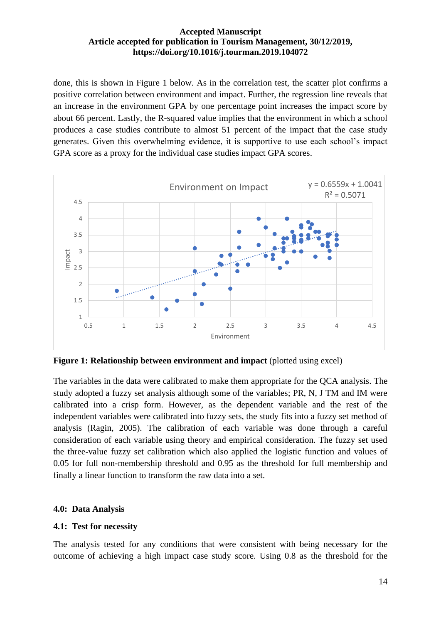done, this is shown in Figure 1 below. As in the correlation test, the scatter plot confirms a positive correlation between environment and impact. Further, the regression line reveals that an increase in the environment GPA by one percentage point increases the impact score by about 66 percent. Lastly, the R-squared value implies that the environment in which a school produces a case studies contribute to almost 51 percent of the impact that the case study generates. Given this overwhelming evidence, it is supportive to use each school's impact GPA score as a proxy for the individual case studies impact GPA scores.



**Figure 1: Relationship between environment and impact** (plotted using excel)

The variables in the data were calibrated to make them appropriate for the QCA analysis. The study adopted a fuzzy set analysis although some of the variables; PR, N, J TM and IM were calibrated into a crisp form. However, as the dependent variable and the rest of the independent variables were calibrated into fuzzy sets, the study fits into a fuzzy set method of analysis (Ragin, 2005). The calibration of each variable was done through a careful consideration of each variable using theory and empirical consideration. The fuzzy set used the three-value fuzzy set calibration which also applied the logistic function and values of 0.05 for full non-membership threshold and 0.95 as the threshold for full membership and finally a linear function to transform the raw data into a set.

# **4.0: Data Analysis**

# **4.1: Test for necessity**

The analysis tested for any conditions that were consistent with being necessary for the outcome of achieving a high impact case study score. Using 0.8 as the threshold for the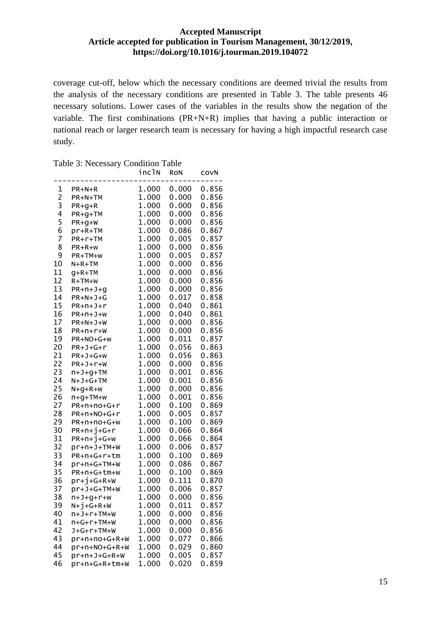coverage cut-off, below which the necessary conditions are deemed trivial the results from the analysis of the necessary conditions are presented in Table 3. The table presents 46 necessary solutions. Lower cases of the variables in the results show the negation of the variable. The first combinations (PR+N+R) implies that having a public interaction or national reach or larger research team is necessary for having a high impactful research case study.

|  | Table 3: Necessary Condition Table |  |  |
|--|------------------------------------|--|--|
|--|------------------------------------|--|--|

|                |                | incln | <b>RON</b> | COVN  |
|----------------|----------------|-------|------------|-------|
| 1              | $PR+N+R$       | 1.000 | 0.000      | 0.856 |
| $\overline{c}$ | PR+N+TM        | 1.000 | 0.000      | 0.856 |
| 3              | $PR+g+R$       | 1.000 | 0.000      | 0.856 |
| 4              | $PR+G+TM$      | 1.000 | 0.000      | 0.856 |
| 5              | $PR+g+W$       | 1.000 | 0.000      | 0.856 |
| 6              | $pr+R+TM$      | 1.000 | 0.086      | 0.867 |
| 7              | $PR + r + TM$  | 1.000 | 0.005      | 0.857 |
| 8              | PR+R+w         | 1.000 | 0.000      | 0.856 |
| 9              | PR+TM+w        | 1.000 | 0.005      | 0.857 |
| 10             | $N+R+TM$       | 1.000 | 0.000      | 0.856 |
| 11             | $q+R+TM$       | 1.000 | 0.000      | 0.856 |
| 12             | $R+TM+W$       | 1.000 | 0.000      | 0.856 |
| 13             | $PR+n+J+g$     | 1.000 | 0.000      | 0.856 |
| 14             | $PR+N+J+G$     | 1.000 | 0.017      | 0.858 |
| 15             | $PR+n+J+r$     | 1.000 | 0.040      | 0.861 |
| 16             | $PR+n+J+W$     | 1.000 | 0.040      | 0.861 |
| 17             | $PR+N+J+W$     | 1.000 | 0.000      | 0.856 |
| 18             | $PR+n+r+W$     | 1.000 | 0.000      | 0.856 |
| 19             | PR+NO+G+W      | 1.000 | 0.011      | 0.857 |
| 20             | $PR+J+G+r$     | 1.000 | 0.056      | 0.863 |
| 21             | $PR+J+G+W$     | 1.000 | 0.056      | 0.863 |
| 22             | $PR+J+r+W$     | 1.000 | 0.000      | 0.856 |
| 23             | $n+J+g+TM$     | 1.000 | 0.001      | 0.856 |
| 24             | $N+J+G+TM$     | 1.000 | 0.001      | 0.856 |
| 25             | $N+g+R+W$      | 1.000 | 0.000      | 0.856 |
| 26             | $n+g+TM+w$     | 1.000 | 0.001      | 0.856 |
| 27             | PR+n+no+G+r    | 1.000 | 0.100      | 0.869 |
| 28             | PR+n+NO+G+r    | 1.000 | 0.005      | 0.857 |
| 29             | PR+n+no+G+w    | 1.000 | 0.100      | 0.869 |
| 30             | $PR+n+j+G+r$   | 1.000 | 0.066      | 0.864 |
| 31             | $PR+n+j+G+W$   | 1.000 | 0.066      | 0.864 |
| 32             | $pr+n+J+TM+W$  | 1.000 | 0.006      | 0.857 |
| 33             | PR+n+G+r+tm    | 1.000 | 0.100      | 0.869 |
| 34             | pr+n+G+TM+W    | 1.000 | 0.086      | 0.867 |
| 35             | PR+n+G+tm+w    | 1.000 | 0.100      | 0.869 |
| 36             | $pr+j+G+R+W$   | 1.000 | 0.111      | 0.870 |
| 37             | pr+J+G+TM+W    | 1.000 | 0.006      | 0.857 |
| 38             | $n+J+g+r+w$    | 1.000 | 0.000      | 0.856 |
| 39             | $N+J+G+R+W$    | 1.000 | 0.011      | 0.857 |
| 40             | $n+J+r+TM+W$   | 1.000 | 0.000      | 0.856 |
| 41             | $n+G+r+TM+W$   | 1.000 | 0.000      | 0.856 |
| 42             | J+G+r+TM+W     | 1.000 | 0.000      | 0.856 |
| 43             | pr+n+no+G+R+W  | 1.000 | 0.077      | 0.866 |
| 44             | pr+n+NO+G+R+W  | 1.000 | 0.029      | 0.860 |
| 45             | $pr+n+J+G+R+W$ | 1.000 | 0.005      | 0.857 |
| 46             | pr+n+G+R+tm+W  | 1.000 | 0.020      | 0.859 |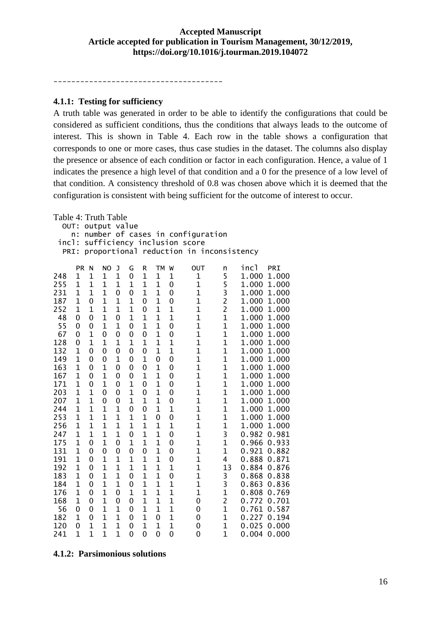--------------------------------------

#### **4.1.1: Testing for sufficiency**

A truth table was generated in order to be able to identify the configurations that could be considered as sufficient conditions, thus the conditions that always leads to the outcome of interest. This is shown in Table 4. Each row in the table shows a configuration that corresponds to one or more cases, thus case studies in the dataset. The columns also display the presence or absence of each condition or factor in each configuration. Hence, a value of 1 indicates the presence a high level of that condition and a 0 for the presence of a low level of that condition. A consistency threshold of 0.8 was chosen above which it is deemed that the configuration is consistent with being sufficient for the outcome of interest to occur.

| Table 4: Truth Table |                                      |                |                |                |                |                |                |                |                                  |                |             |             |
|----------------------|--------------------------------------|----------------|----------------|----------------|----------------|----------------|----------------|----------------|----------------------------------|----------------|-------------|-------------|
| OUT:<br>output value |                                      |                |                |                |                |                |                |                |                                  |                |             |             |
|                      | n:                                   |                |                |                |                |                |                |                | number of cases in configuration |                |             |             |
|                      | incl:<br>sufficiency inclusion score |                |                |                |                |                |                |                |                                  |                |             |             |
| PRI:                 |                                      |                |                |                | proportional   |                |                |                | reduction in inconsistency       |                |             |             |
|                      | <b>PR</b>                            | N              | <b>NO</b>      | J              | G              | R              | <b>TM</b>      | W              | OUT                              | n              | incl        | PRI         |
| 248                  | $\mathbf 1$                          | $\mathbf{1}$   | $\mathbf{1}$   | $\mathbf{1}$   | $\mathbf 0$    | $\mathbf{1}$   | $\mathbf{1}$   | $\mathbf{1}$   | 1                                | 5              | 1.000       | 1.000       |
| 255                  | $\mathbf{1}$                         | $\overline{1}$ | $\mathbf{1}$   | $\mathbf{1}$   | $\mathbf{1}$   | $\mathbf{1}$   | $\mathbf{1}$   | $\mathbf 0$    | $\overline{1}$                   | 5              | 1.000       | 1.000       |
| 231                  | 1                                    | $\mathbf{1}$   | $\mathbf{1}$   | 0              | $\mathbf 0$    | $\mathbf 1$    | $\mathbf{1}$   | $\mathbf 0$    | $\mathbf{1}$                     | 3              | 1.000       | 1.000       |
| 187                  | 1                                    | $\mathbf 0$    | $\mathbf{1}$   | $\mathbf{1}$   | $\mathbf{1}$   | 0              | $\mathbf{1}$   | $\mathbf 0$    | $\overline{1}$                   | $\overline{c}$ | 1.000       | 1.000       |
| 252                  | 1                                    | $\overline{1}$ | $\mathbf 1$    | $\mathbf 1$    | $\mathbf{1}$   | 0              | $\mathbf{1}$   | $\overline{1}$ | $\mathbf{1}$                     | $\overline{c}$ | 1.000       | 1.000       |
| 48                   | 0                                    | 0              | $\mathbf{1}$   | 0              | $\mathbf{1}$   | $\overline{1}$ | 1              | $\overline{1}$ | $\overline{1}$                   | $\overline{1}$ | 1.000       | 1.000       |
| 55                   | 0                                    | 0              | $\overline{1}$ | $\mathbf{1}$   | 0              | $\mathbf{1}$   | $\overline{1}$ | $\mathbf 0$    | $\overline{1}$                   | $\overline{1}$ | 1.000       | 1.000       |
| 67                   | 0                                    | $\mathbf{1}$   | 0              | 0              | 0              | 0              | $\mathbf{1}$   | $\mathbf 0$    | $\mathbf{1}$                     | $\mathbf 1$    | 1.000       | 1.000       |
| 128                  | 0                                    | $\mathbf{1}$   | $\overline{1}$ | $\mathbf 1$    | $\mathbf{1}$   | $\mathbf{1}$   | $\overline{1}$ | $\overline{1}$ | $\overline{1}$                   | $\overline{1}$ | 1.000       | 1.000       |
| 132                  | $\mathbf 1$                          | 0              | 0              | $\mathbf 0$    | 0              | 0              | $\mathbf{1}$   | $\overline{1}$ | $\mathbf{1}$                     | $\overline{1}$ | 1.000       | 1.000       |
| 149                  | $\mathbf{1}$                         | 0              | 0              | $\mathbf{1}$   | 0              | $\mathbf{1}$   | 0              | $\mathbf 0$    | $\mathbf{1}$                     | $\mathbf{1}$   | 1.000       | 1.000       |
| 163                  | $\mathbf 1$                          | 0              | $\mathbf{1}$   | 0              | $\mathbf 0$    | $\mathbf 0$    | $\mathbf 1$    | 0              | $\overline{1}$                   | $\mathbf{1}$   | 1.000       | 1.000       |
| 167                  | 1                                    | 0              | 1              | 0              | $\mathbf 0$    | $\mathbf 1$    | 1              | 0              | $\mathbf{1}$                     | $\mathbf 1$    | 1.000       | 1.000       |
| 171                  | 1                                    | 0              | $\mathbf 1$    | 0              | $\mathbf{1}$   | 0              | $\mathbf{1}$   | 0              | $\overline{1}$                   | $\overline{1}$ | 1.000       | 1.000       |
| 203                  | 1                                    | $\mathbf 1$    | 0              | 0              | $\mathbf{1}$   | 0              | 1              | 0              | $\mathbf{1}$                     | $\overline{1}$ | 1.000       | 1.000       |
| 207                  | 1                                    | $\overline{1}$ | 0              | 0              | $\mathbf{1}$   | $\mathbf{1}$   | 1              | $\mathbf 0$    | $\overline{1}$                   | $\overline{1}$ | 1.000       | 1.000       |
| 244                  | 1                                    | $\overline{1}$ | $\overline{1}$ | $\mathbf{1}$   | 0              | $\mathbf 0$    | $\mathbf{1}$   | $\overline{1}$ | $\overline{1}$                   | $\overline{1}$ |             | 1.000 1.000 |
| 253                  | $\mathbf{1}$                         | $\mathbf{1}$   | $\mathbf{1}$   | $\mathbf{1}$   | $\mathbf{1}$   | $\mathbf{1}$   | 0              | $\mathbf 0$    | $\mathbf{1}$                     | $\mathbf 1$    |             | 1.000 1.000 |
| 256                  | 1                                    | $\overline{1}$ | $\overline{1}$ | $\mathbf 1$    | $\mathbf{1}$   | $\mathbf{1}$   | $\overline{1}$ | $\overline{1}$ | $\overline{1}$                   | $\overline{1}$ |             | 1.000 1.000 |
| 247                  | $\mathbf 1$                          | $\mathbf{1}$   | $\mathbf{1}$   | $\mathbf 1$    | 0              | $\mathbf{1}$   | $\mathbf{1}$   | $\mathbf 0$    | $\overline{1}$                   | 3              | 0.982 0.981 |             |
| 175                  | $\mathbf{1}$                         | 0              | $\mathbf{1}$   | $\overline{0}$ | $\mathbf{1}$   | $\mathbf{1}$   | $\mathbf{1}$   | $\mathbf 0$    | $\mathbf{1}$                     | $\overline{1}$ | 0.966 0.933 |             |
| 131                  | $\mathbf{1}$                         | $\mathbf 0$    | 0              | 0              | 0              | 0              | $\mathbf{1}$   | $\mathbf 0$    | $\overline{1}$                   | $\mathbf 1$    | 0.921 0.882 |             |
| 191                  | 1                                    | 0              | $\mathbf{1}$   | $\mathbf{1}$   | $\mathbf{1}$   | $\mathbf 1$    | 1              | 0              | $\mathbf{1}$                     | 4              | 0.888       | 0.871       |
| 192                  | 1                                    | $\mathbf 0$    | $\mathbf{1}$   | $\mathbf{1}$   | $\mathbf{1}$   | $\mathbf{1}$   | $\mathbf{1}$   | $\overline{1}$ | $\overline{1}$                   | 13             | 0.884       | 0.876       |
| 183                  | 1                                    | 0              | $\mathbf 1$    | $\mathbf 1$    | $\mathbf 0$    | $\mathbf 1$    | $\mathbf 1$    | 0              | $\mathbf{1}$                     | 3              | 0.868       | 0.838       |
| 184                  | 1                                    | $\mathbf 0$    | $\mathbf{1}$   | $\mathbf{1}$   | $\mathbf 0$    | $\mathbf{1}$   | 1              | $\overline{1}$ | $\mathbf{1}$                     | 3              | 0.863       | 0.836       |
| 176                  | 1                                    | 0              | $\overline{1}$ | 0              | $\mathbf{1}$   | $\mathbf{1}$   | $\overline{1}$ | $\overline{1}$ | $\overline{1}$                   | $\overline{1}$ | 0.808       | 0.769       |
| 168                  | 1                                    | 0              | $\mathbf{1}$   | 0              | 0              | $\mathbf{1}$   | $\mathbf{1}$   | $\overline{1}$ | 0                                | $\overline{c}$ | 0.772 0.701 |             |
| 56                   | 0                                    | $\mathbf 0$    | $\overline{1}$ | $\overline{1}$ | $\overline{0}$ | $\mathbf{1}$   | $\overline{1}$ | $\overline{1}$ | 0                                | $\overline{1}$ |             | 0.761 0.587 |
| 182                  | $\mathbf 1$                          | 0              | $\mathbf{1}$   | $\mathbf{1}$   | $\mathbf 0$    | $\mathbf{1}$   | 0              | $\mathbf{1}$   | 0                                | $\mathbf{1}$   | 0.227       | 0.194       |
| 120                  | 0                                    | $\mathbf{1}$   | $\mathbf{1}$   | $\mathbf{1}$   | 0              | $\mathbf{1}$   | $\mathbf{1}$   | $\mathbf{1}$   | 0                                | $\mathbf{1}$   | 0.025       | 0.000       |
| 241                  | $\overline{1}$                       | $\overline{1}$ | $\overline{1}$ | $\overline{1}$ | 0              | 0              | 0              | $\mathbf 0$    | 0                                | $\mathbf{1}$   | 0.004       | 0.000       |

**4.1.2: Parsimonious solutions**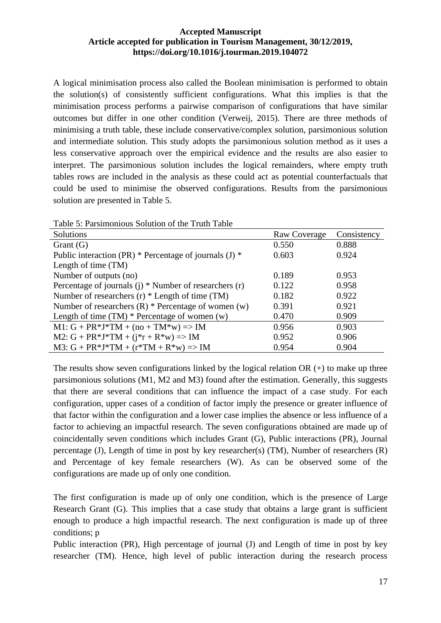A logical minimisation process also called the Boolean minimisation is performed to obtain the solution(s) of consistently sufficient configurations. What this implies is that the minimisation process performs a pairwise comparison of configurations that have similar outcomes but differ in one other condition (Verweij, 2015). There are three methods of minimising a truth table, these include conservative/complex solution, parsimonious solution and intermediate solution. This study adopts the parsimonious solution method as it uses a less conservative approach over the empirical evidence and the results are also easier to interpret. The parsimonious solution includes the logical remainders, where empty truth tables rows are included in the analysis as these could act as potential counterfactuals that could be used to minimise the observed configurations. Results from the parsimonious solution are presented in Table 5.

| Table 5: Parsimonious Solution of the Truth Table        |              |             |
|----------------------------------------------------------|--------------|-------------|
| <b>Solutions</b>                                         | Raw Coverage | Consistency |
| Grant $(G)$                                              | 0.550        | 0.888       |
| Public interaction (PR) * Percentage of journals (J) *   | 0.603        | 0.924       |
| Length of time (TM)                                      |              |             |
| Number of outputs (no)                                   | 0.189        | 0.953       |
| Percentage of journals (j) $*$ Number of researchers (r) | 0.122        | 0.958       |
| Number of researchers $(r)$ * Length of time (TM)        | 0.182        | 0.922       |
| Number of researchers $(R)$ * Percentage of women $(w)$  | 0.391        | 0.921       |
| Length of time $(TM)$ * Percentage of women $(w)$        | 0.470        | 0.909       |
| $M1: G + PR*J*TM + (no + TM*w) \Rightarrow IM$           | 0.956        | 0.903       |
| M2: $G + PR*J*TM + (j*r + R*w) \Rightarrow IM$           | 0.952        | 0.906       |
| $M3: G + PR*J*TM + (r*TM + R*w) \Rightarrow IM$          | 0.954        | 0.904       |

 $T_1$   $T_2$   $T_3$   $T_4$   $T_5$   $T_6$   $T_7$   $T_8$   $T_9$   $T_9$   $T_1$   $T_2$   $T_3$   $T_4$   $T_5$   $T_7$   $T_8$   $T_9$   $T_9$   $T_9$   $T_9$   $T_9$   $T_9$   $T_9$   $T_9$   $T_9$   $T_9$   $T_9$   $T_9$   $T_9$   $T_9$   $T_9$   $T_9$   $T_9$   $T_9$   $T_9$   $T_9$ 

The results show seven configurations linked by the logical relation  $OR (+)$  to make up three parsimonious solutions (M1, M2 and M3) found after the estimation. Generally, this suggests that there are several conditions that can influence the impact of a case study. For each configuration, upper cases of a condition of factor imply the presence or greater influence of that factor within the configuration and a lower case implies the absence or less influence of a factor to achieving an impactful research. The seven configurations obtained are made up of coincidentally seven conditions which includes Grant (G), Public interactions (PR), Journal percentage (J), Length of time in post by key researcher(s) (TM), Number of researchers (R) and Percentage of key female researchers (W). As can be observed some of the configurations are made up of only one condition.

The first configuration is made up of only one condition, which is the presence of Large Research Grant (G). This implies that a case study that obtains a large grant is sufficient enough to produce a high impactful research. The next configuration is made up of three conditions; p

Public interaction (PR), High percentage of journal (J) and Length of time in post by key researcher (TM). Hence, high level of public interaction during the research process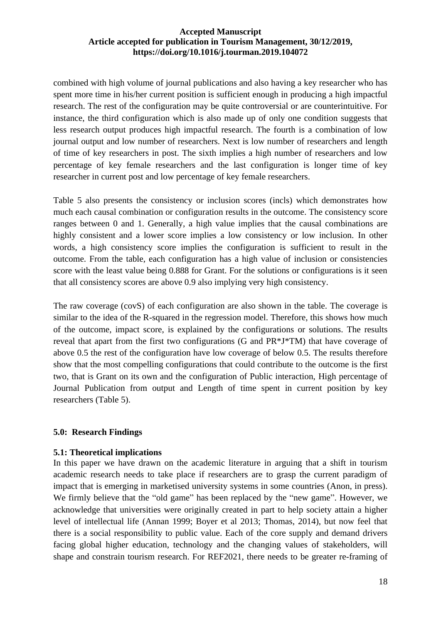combined with high volume of journal publications and also having a key researcher who has spent more time in his/her current position is sufficient enough in producing a high impactful research. The rest of the configuration may be quite controversial or are counterintuitive. For instance, the third configuration which is also made up of only one condition suggests that less research output produces high impactful research. The fourth is a combination of low journal output and low number of researchers. Next is low number of researchers and length of time of key researchers in post. The sixth implies a high number of researchers and low percentage of key female researchers and the last configuration is longer time of key researcher in current post and low percentage of key female researchers.

Table 5 also presents the consistency or inclusion scores (incls) which demonstrates how much each causal combination or configuration results in the outcome. The consistency score ranges between 0 and 1. Generally, a high value implies that the causal combinations are highly consistent and a lower score implies a low consistency or low inclusion. In other words, a high consistency score implies the configuration is sufficient to result in the outcome. From the table, each configuration has a high value of inclusion or consistencies score with the least value being 0.888 for Grant. For the solutions or configurations is it seen that all consistency scores are above 0.9 also implying very high consistency.

The raw coverage (covS) of each configuration are also shown in the table. The coverage is similar to the idea of the R-squared in the regression model. Therefore, this shows how much of the outcome, impact score, is explained by the configurations or solutions. The results reveal that apart from the first two configurations (G and PR\*J\*TM) that have coverage of above 0.5 the rest of the configuration have low coverage of below 0.5. The results therefore show that the most compelling configurations that could contribute to the outcome is the first two, that is Grant on its own and the configuration of Public interaction, High percentage of Journal Publication from output and Length of time spent in current position by key researchers (Table 5).

#### **5.0: Research Findings**

#### **5.1: Theoretical implications**

In this paper we have drawn on the academic literature in arguing that a shift in tourism academic research needs to take place if researchers are to grasp the current paradigm of impact that is emerging in marketised university systems in some countries (Anon, in press). We firmly believe that the "old game" has been replaced by the "new game". However, we acknowledge that universities were originally created in part to help society attain a higher level of intellectual life (Annan 1999; Boyer et al 2013; Thomas, 2014), but now feel that there is a social responsibility to public value. Each of the core supply and demand drivers facing global higher education, technology and the changing values of stakeholders, will shape and constrain tourism research. For REF2021, there needs to be greater re-framing of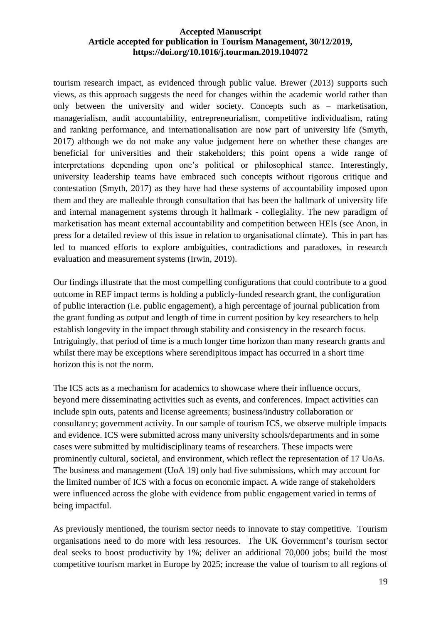tourism research impact, as evidenced through public value. Brewer (2013) supports such views, as this approach suggests the need for changes within the academic world rather than only between the university and wider society. Concepts such as – marketisation, managerialism, audit accountability, entrepreneurialism, competitive individualism, rating and ranking performance, and internationalisation are now part of university life (Smyth, 2017) although we do not make any value judgement here on whether these changes are beneficial for universities and their stakeholders; this point opens a wide range of interpretations depending upon one's political or philosophical stance. Interestingly, university leadership teams have embraced such concepts without rigorous critique and contestation (Smyth, 2017) as they have had these systems of accountability imposed upon them and they are malleable through consultation that has been the hallmark of university life and internal management systems through it hallmark - collegiality. The new paradigm of marketisation has meant external accountability and competition between HEIs (see Anon, in press for a detailed review of this issue in relation to organisational climate). This in part has led to nuanced efforts to explore ambiguities, contradictions and paradoxes, in research evaluation and measurement systems (Irwin, 2019).

Our findings illustrate that the most compelling configurations that could contribute to a good outcome in REF impact terms is holding a publicly-funded research grant, the configuration of public interaction (i.e. public engagement), a high percentage of journal publication from the grant funding as output and length of time in current position by key researchers to help establish longevity in the impact through stability and consistency in the research focus. Intriguingly, that period of time is a much longer time horizon than many research grants and whilst there may be exceptions where serendipitous impact has occurred in a short time horizon this is not the norm.

The ICS acts as a mechanism for academics to showcase where their influence occurs, beyond mere disseminating activities such as events, and conferences. Impact activities can include spin outs, patents and license agreements; business/industry collaboration or consultancy; government activity. In our sample of tourism ICS, we observe multiple impacts and evidence. ICS were submitted across many university schools/departments and in some cases were submitted by multidisciplinary teams of researchers. These impacts were prominently cultural, societal, and environment, which reflect the representation of 17 UoAs. The business and management (UoA 19) only had five submissions, which may account for the limited number of ICS with a focus on economic impact. A wide range of stakeholders were influenced across the globe with evidence from public engagement varied in terms of being impactful.

As previously mentioned, the tourism sector needs to innovate to stay competitive. Tourism organisations need to do more with less resources. The UK Government's tourism sector deal seeks to boost productivity by 1%; deliver an additional 70,000 jobs; build the most competitive tourism market in Europe by 2025; increase the value of tourism to all regions of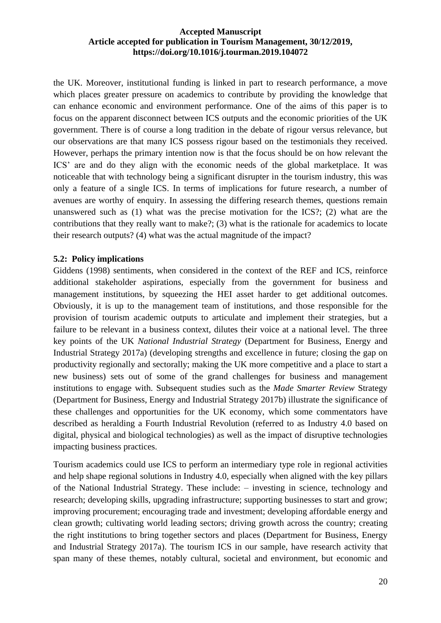the UK. Moreover, institutional funding is linked in part to research performance, a move which places greater pressure on academics to contribute by providing the knowledge that can enhance economic and environment performance. One of the aims of this paper is to focus on the apparent disconnect between ICS outputs and the economic priorities of the UK government. There is of course a long tradition in the debate of rigour versus relevance, but our observations are that many ICS possess rigour based on the testimonials they received. However, perhaps the primary intention now is that the focus should be on how relevant the ICS' are and do they align with the economic needs of the global marketplace. It was noticeable that with technology being a significant disrupter in the tourism industry, this was only a feature of a single ICS. In terms of implications for future research, a number of avenues are worthy of enquiry. In assessing the differing research themes, questions remain unanswered such as (1) what was the precise motivation for the ICS?; (2) what are the contributions that they really want to make?; (3) what is the rationale for academics to locate their research outputs? (4) what was the actual magnitude of the impact?

## **5.2: Policy implications**

Giddens (1998) sentiments, when considered in the context of the REF and ICS, reinforce additional stakeholder aspirations, especially from the government for business and management institutions, by squeezing the HEI asset harder to get additional outcomes. Obviously, it is up to the management team of institutions, and those responsible for the provision of tourism academic outputs to articulate and implement their strategies, but a failure to be relevant in a business context, dilutes their voice at a national level. The three key points of the UK *National Industrial Strategy* (Department for Business, Energy and Industrial Strategy 2017a) (developing strengths and excellence in future; closing the gap on productivity regionally and sectorally; making the UK more competitive and a place to start a new business) sets out of some of the grand challenges for business and management institutions to engage with. Subsequent studies such as the *Made Smarter Review* Strategy (Department for Business, Energy and Industrial Strategy 2017b) illustrate the significance of these challenges and opportunities for the UK economy, which some commentators have described as heralding a Fourth Industrial Revolution (referred to as Industry 4.0 based on digital, physical and biological technologies) as well as the impact of disruptive technologies impacting business practices.

Tourism academics could use ICS to perform an intermediary type role in regional activities and help shape regional solutions in Industry 4.0, especially when aligned with the key pillars of the National Industrial Strategy. These include: – investing in science, technology and research; developing skills, upgrading infrastructure; supporting businesses to start and grow; improving procurement; encouraging trade and investment; developing affordable energy and clean growth; cultivating world leading sectors; driving growth across the country; creating the right institutions to bring together sectors and places (Department for Business, Energy and Industrial Strategy 2017a). The tourism ICS in our sample, have research activity that span many of these themes, notably cultural, societal and environment, but economic and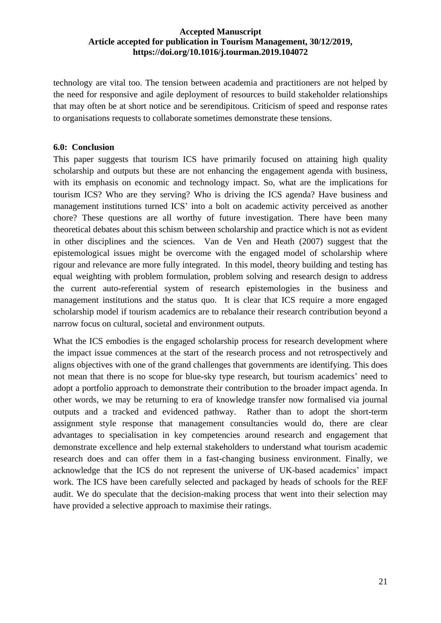technology are vital too. The tension between academia and practitioners are not helped by the need for responsive and agile deployment of resources to build stakeholder relationships that may often be at short notice and be serendipitous. Criticism of speed and response rates to organisations requests to collaborate sometimes demonstrate these tensions.

## **6.0: Conclusion**

This paper suggests that tourism ICS have primarily focused on attaining high quality scholarship and outputs but these are not enhancing the engagement agenda with business, with its emphasis on economic and technology impact. So, what are the implications for tourism ICS? Who are they serving? Who is driving the ICS agenda? Have business and management institutions turned ICS' into a bolt on academic activity perceived as another chore? These questions are all worthy of future investigation. There have been many theoretical debates about this schism between scholarship and practice which is not as evident in other disciplines and the sciences. Van de Ven and Heath (2007) suggest that the epistemological issues might be overcome with the engaged model of scholarship where rigour and relevance are more fully integrated. In this model, theory building and testing has equal weighting with problem formulation, problem solving and research design to address the current auto-referential system of research epistemologies in the business and management institutions and the status quo. It is clear that ICS require a more engaged scholarship model if tourism academics are to rebalance their research contribution beyond a narrow focus on cultural, societal and environment outputs.

What the ICS embodies is the engaged scholarship process for research development where the impact issue commences at the start of the research process and not retrospectively and aligns objectives with one of the grand challenges that governments are identifying. This does not mean that there is no scope for blue-sky type research, but tourism academics' need to adopt a portfolio approach to demonstrate their contribution to the broader impact agenda. In other words, we may be returning to era of knowledge transfer now formalised via journal outputs and a tracked and evidenced pathway. Rather than to adopt the short-term assignment style response that management consultancies would do, there are clear advantages to specialisation in key competencies around research and engagement that demonstrate excellence and help external stakeholders to understand what tourism academic research does and can offer them in a fast-changing business environment. Finally, we acknowledge that the ICS do not represent the universe of UK-based academics' impact work. The ICS have been carefully selected and packaged by heads of schools for the REF audit. We do speculate that the decision-making process that went into their selection may have provided a selective approach to maximise their ratings.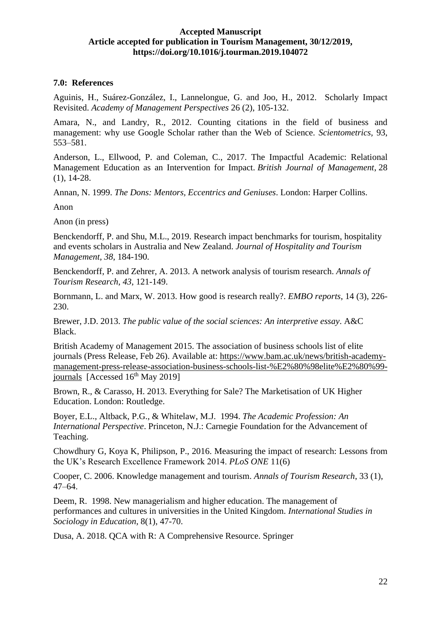## **7.0: References**

Aguinis, H., Suárez-González, I., Lannelongue, G. and Joo, H., 2012. Scholarly Impact Revisited. *Academy of Management Perspectives* 26 (2), 105-132.

Amara, N., and Landry, R., 2012. Counting citations in the field of business and management: why use Google Scholar rather than the Web of Science. *Scientometrics,* 93, 553–581.

Anderson, L., Ellwood, P. and Coleman, C., 2017. The Impactful Academic: Relational Management Education as an Intervention for Impact. *British Journal of Management*, 28 (1), 14-28.

Annan, N. 1999. *The Dons: Mentors, Eccentrics and Geniuses*. London: Harper Collins.

Anon

Anon (in press)

Benckendorff, P. and Shu, M.L., 2019. Research impact benchmarks for tourism, hospitality and events scholars in Australia and New Zealand. *Journal of Hospitality and Tourism Management*, *38*, 184-190.

Benckendorff, P. and Zehrer, A. 2013. A network analysis of tourism research. *Annals of Tourism Research*, *43*, 121-149.

Bornmann, L. and Marx, W. 2013. How good is research really?. *EMBO reports*, 14 (3), 226- 230.

Brewer, J.D. 2013. *The public value of the social sciences: An interpretive essay*. A&C Black.

British Academy of Management 2015. The association of business schools list of elite journals (Press Release, Feb 26). Available at: [https://www.bam.ac.uk/news/british-academy](https://www.bam.ac.uk/news/british-academy-management-press-release-association-business-schools-list-%E2%80%98elite%E2%80%99-journals)[management-press-release-association-business-schools-list-%E2%80%98elite%E2%80%99](https://www.bam.ac.uk/news/british-academy-management-press-release-association-business-schools-list-%E2%80%98elite%E2%80%99-journals) [journals](https://www.bam.ac.uk/news/british-academy-management-press-release-association-business-schools-list-%E2%80%98elite%E2%80%99-journals) [Accessed 16<sup>th</sup> May 2019]

Brown, R., & Carasso, H. 2013. Everything for Sale? The Marketisation of UK Higher Education. London: Routledge.

Boyer, E.L., Altback, P.G., & Whitelaw, M.J. 1994. *The Academic Profession: An International Perspective*. Princeton, N.J.: Carnegie Foundation for the Advancement of Teaching.

Chowdhury G, Koya K, Philipson, P., 2016. Measuring the impact of research: Lessons from the UK's Research Excellence Framework 2014. *PLoS ONE* 11(6)

Cooper, C. 2006. Knowledge management and tourism. *Annals of Tourism Research*, 33 (1), 47–64.

Deem, R. 1998. New managerialism and higher education. The management of performances and cultures in universities in the United Kingdom. *International Studies in Sociology in Education*, 8(1), 47-70.

Dusa, A. 2018. QCA with R: A Comprehensive Resource. Springer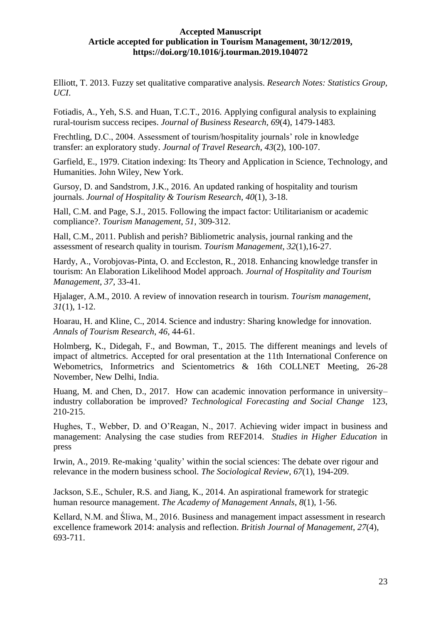Elliott, T. 2013. Fuzzy set qualitative comparative analysis. *Research Notes: Statistics Group, UCI*.

Fotiadis, A., Yeh, S.S. and Huan, T.C.T., 2016. Applying configural analysis to explaining rural-tourism success recipes. *Journal of Business Research*, *69*(4), 1479-1483.

Frechtling, D.C., 2004. Assessment of tourism/hospitality journals' role in knowledge transfer: an exploratory study. *Journal of Travel Research*, *43*(2), 100-107.

Garfield, E., 1979. Citation indexing: Its Theory and Application in Science, Technology, and Humanities. John Wiley, New York.

Gursoy, D. and Sandstrom, J.K., 2016. An updated ranking of hospitality and tourism journals. *Journal of Hospitality & Tourism Research*, *40*(1), 3-18.

Hall, C.M. and Page, S.J., 2015. Following the impact factor: Utilitarianism or academic compliance?. *Tourism Management*, *51*, 309-312.

Hall, C.M., 2011. Publish and perish? Bibliometric analysis, journal ranking and the assessment of research quality in tourism. *Tourism Management*, *32*(1),16-27.

Hardy, A., Vorobjovas-Pinta, O. and Eccleston, R., 2018. Enhancing knowledge transfer in tourism: An Elaboration Likelihood Model approach. *Journal of Hospitality and Tourism Management*, *37*, 33-41.

Hjalager, A.M., 2010. A review of innovation research in tourism. *Tourism management*, *31*(1), 1-12.

Hoarau, H. and Kline, C., 2014. Science and industry: Sharing knowledge for innovation. *Annals of Tourism Research*, *46*, 44-61.

Holmberg, K., Didegah, F., and Bowman, T., 2015. The different meanings and levels of impact of altmetrics. Accepted for oral presentation at the 11th International Conference on Webometrics, Informetrics and Scientometrics & 16th COLLNET Meeting, 26-28 November, New Delhi, India.

Huang, M. and Chen, D., 2017. How can academic innovation performance in university– industry collaboration be improved? *Technological Forecasting and Social Change* 123, 210-215.

Hughes, T., Webber, D. and O'Reagan, N., 2017. Achieving wider impact in business and management: Analysing the case studies from REF2014. *Studies in Higher Education* in press

Irwin, A., 2019. Re-making 'quality' within the social sciences: The debate over rigour and relevance in the modern business school. *The Sociological Review*, *67*(1), 194-209.

Jackson, S.E., Schuler, R.S. and Jiang, K., 2014. An aspirational framework for strategic human resource management. *The Academy of Management Annals*, *8*(1), 1-56.

Kellard, N.M. and Śliwa, M., 2016. Business and management impact assessment in research excellence framework 2014: analysis and reflection. *British Journal of Management*, *27*(4), 693-711.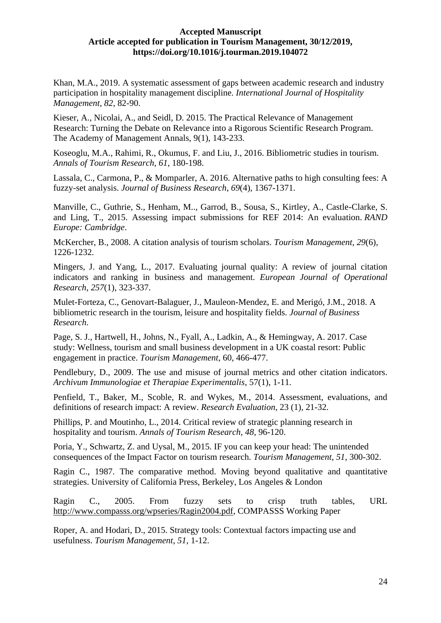Khan, M.A., 2019. A systematic assessment of gaps between academic research and industry participation in hospitality management discipline. *International Journal of Hospitality Management*, *82*, 82-90.

Kieser, A., Nicolai, A., and Seidl, D. 2015. The Practical Relevance of Management Research: Turning the Debate on Relevance into a Rigorous Scientific Research Program. The Academy of Management Annals, 9(1), 143-233.

Koseoglu, M.A., Rahimi, R., Okumus, F. and Liu, J., 2016. Bibliometric studies in tourism. *Annals of Tourism Research*, *61*, 180-198.

Lassala, C., Carmona, P., & Momparler, A. 2016. Alternative paths to high consulting fees: A fuzzy-set analysis. *Journal of Business Research*, *69*(4), 1367-1371.

Manville, C., Guthrie, S., Henham, M.., Garrod, B., Sousa, S., Kirtley, A., Castle-Clarke, S. and Ling, T., 2015. Assessing impact submissions for REF 2014: An evaluation. *RAND Europe: Cambridge*.

McKercher, B., 2008. A citation analysis of tourism scholars. *Tourism Management*, *29*(6), 1226-1232.

Mingers, J. and Yang, L., 2017. Evaluating journal quality: A review of journal citation indicators and ranking in business and management. *European Journal of Operational Research*, *257*(1), 323-337.

Mulet-Forteza, C., Genovart-Balaguer, J., Mauleon-Mendez, E. and Merigó, J.M., 2018. A bibliometric research in the tourism, leisure and hospitality fields. *Journal of Business Research*.

Page, S. J., Hartwell, H., Johns, N., Fyall, A., Ladkin, A., & Hemingway, A. 2017. Case study: Wellness, tourism and small business development in a UK coastal resort: Public engagement in practice. *Tourism Management*, 60, 466-477.

Pendlebury, D., 2009. The use and misuse of journal metrics and other citation indicators. *Archivum Immunologiae et Therapiae Experimentalis*, 57(1), 1-11.

Penfield, T., Baker, M., Scoble, R. and Wykes, M., 2014. Assessment, evaluations, and definitions of research impact: A review. *Research Evaluation*, 23 (1), 21-32.

Phillips, P. and Moutinho, L., 2014. Critical review of strategic planning research in hospitality and tourism. *Annals of Tourism Research*, *48*, 96-120.

Poria, Y., Schwartz, Z. and Uysal, M., 2015. IF you can keep your head: The unintended consequences of the Impact Factor on tourism research. *Tourism Management*, *51*, 300-302.

Ragin C., 1987. The comparative method. Moving beyond qualitative and quantitative strategies. University of California Press, Berkeley, Los Angeles & London

Ragin C., 2005. From fuzzy sets to crisp truth tables, URL [http://www.compasss.org/wpseries/Ragin2004.pdf,](http://www.compasss.org/wpseries/Ragin2004.pdf) COMPASSS Working Paper

Roper, A. and Hodari, D., 2015. Strategy tools: Contextual factors impacting use and usefulness. *Tourism Management*, *51*, 1-12.